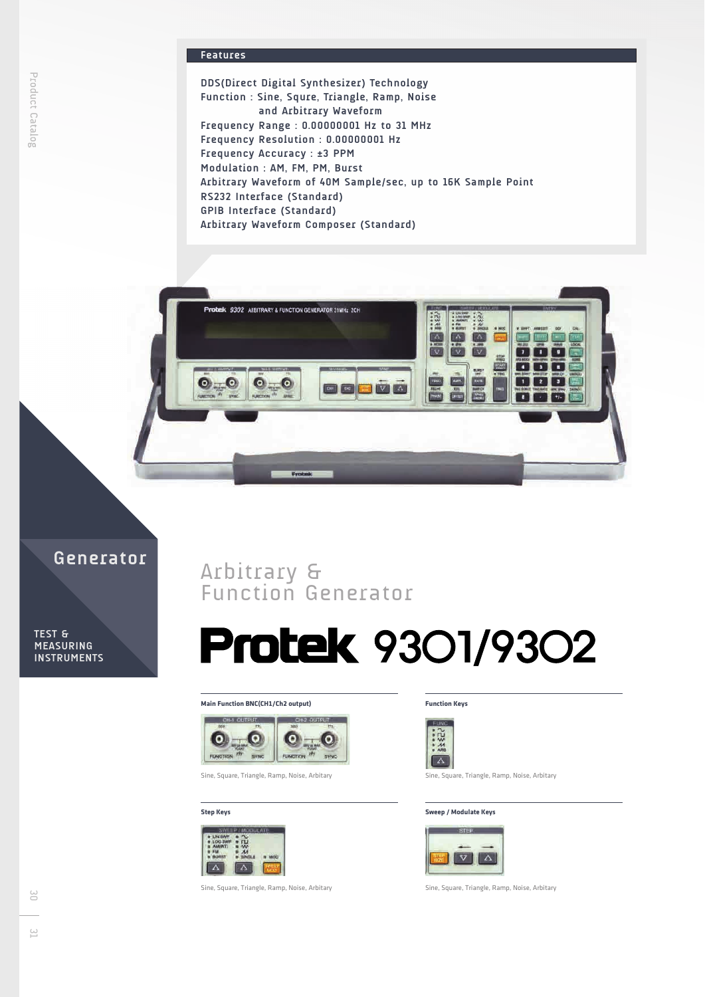### **Features**

**DDS(Direct Digital Synthesizer) Technology Function : Sine, Squre, Triangle, Ramp, Noise and Arbitrary Waveform Frequency Range : 0.00000001 Hz to 31 MHz Frequency Resolution : 0.00000001 Hz Frequency Accuracy : ±3 PPM Modulation : AM, FM, PM, Burst Arbitrary Waveform of 40M Sample/sec, up to 16K Sample Point RS232 Interface (Standard) GPIB Interface (Standard) Arbitrary Waveform Composer (Standard)**



## **Generator**

**TEST & MEASURING INSTRUMENTS**

Product Catalog

# Arbitrary & Function Generator

# **Protek 9301/9302**

#### **Main Function BNC(CH1/Ch2 output)**



Sine, Square, Triangle, Ramp, Noise, Arbitary

#### **Step Keys**



Sine, Square, Triangle, Ramp, Noise, Arbitary

#### **Function Keys**



Sine, Square, Triangle, Ramp, Noise, Arbitary

#### **Sweep / Modulate Keys**



Sine, Square, Triangle, Ramp, Noise, Arbitary